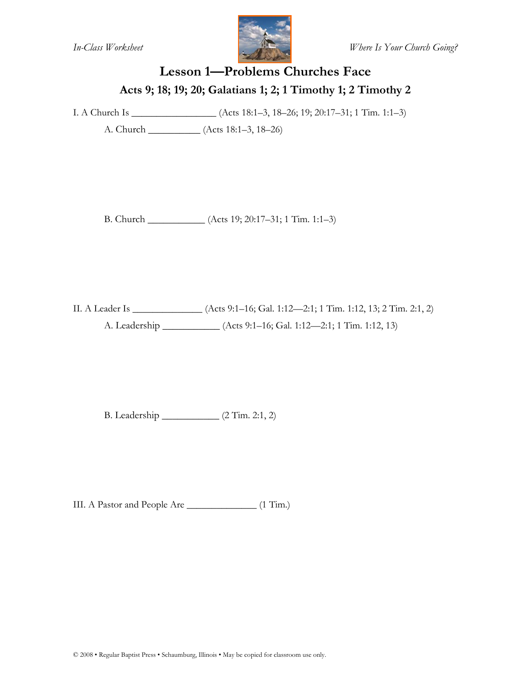

### **Lesson 1—Problems Churches Face Acts 9; 18; 19; 20; Galatians 1; 2; 1 Timothy 1; 2 Timothy 2**

I. A Church Is \_\_\_\_\_\_\_\_\_\_\_\_\_\_\_\_\_ (Acts 18:1–3, 18–26; 19; 20:17–31; 1 Tim. 1:1–3)

A. Church \_\_\_\_\_\_\_\_\_\_ (Acts 18:1–3, 18–26)

B. Church \_\_\_\_\_\_\_\_\_\_\_ (Acts 19; 20:17–31; 1 Tim. 1:1–3)

II. A Leader Is \_\_\_\_\_\_\_\_\_\_\_\_\_\_ (Acts 9:1–16; Gal. 1:12—2:1; 1 Tim. 1:12, 13; 2 Tim. 2:1, 2) A. Leadership \_\_\_\_\_\_\_\_\_\_\_ (Acts 9:1–16; Gal. 1:12—2:1; 1 Tim. 1:12, 13)

B. Leadership \_\_\_\_\_\_\_\_\_\_\_ (2 Tim. 2:1, 2)

III. A Pastor and People Are \_\_\_\_\_\_\_\_\_\_\_\_\_\_ (1 Tim.)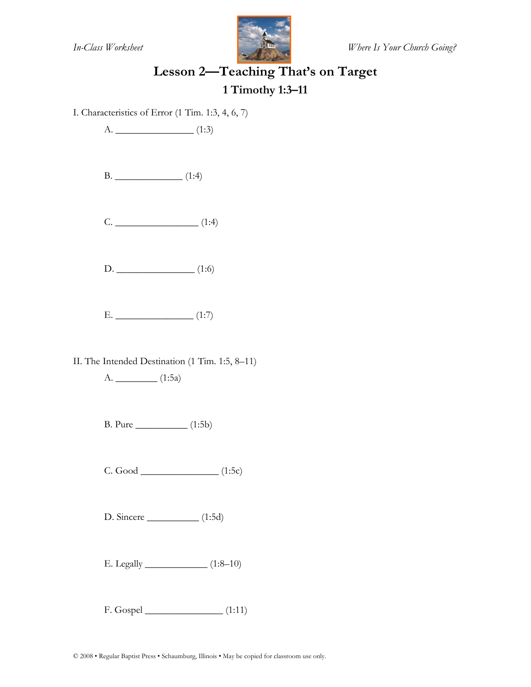

# **Lesson 2—Teaching That's on Target 1 Timothy 1:3–11**

I. Characteristics of Error (1 Tim. 1:3, 4, 6, 7)

A. \_\_\_\_\_\_\_\_\_\_\_\_\_\_\_ (1:3)

| 1 |  |
|---|--|
|---|--|

C. \_\_\_\_\_\_\_\_\_\_\_\_\_\_\_\_ (1:4)

D. \_\_\_\_\_\_\_\_\_\_\_\_\_\_\_ (1:6)

 $E.$  (1:7)

II. The Intended Destination (1 Tim. 1:5, 8–11)

A. \_\_\_\_\_\_\_\_ (1:5a)

B. Pure \_\_\_\_\_\_\_\_\_\_ (1:5b)

C. Good \_\_\_\_\_\_\_\_\_\_\_\_\_\_\_ (1:5c)

D. Sincere \_\_\_\_\_\_\_\_\_\_ (1:5d)

E. Legally \_\_\_\_\_\_\_\_\_\_\_\_ (1:8–10)

F. Gospel \_\_\_\_\_\_\_\_\_\_\_\_\_\_\_ (1:11)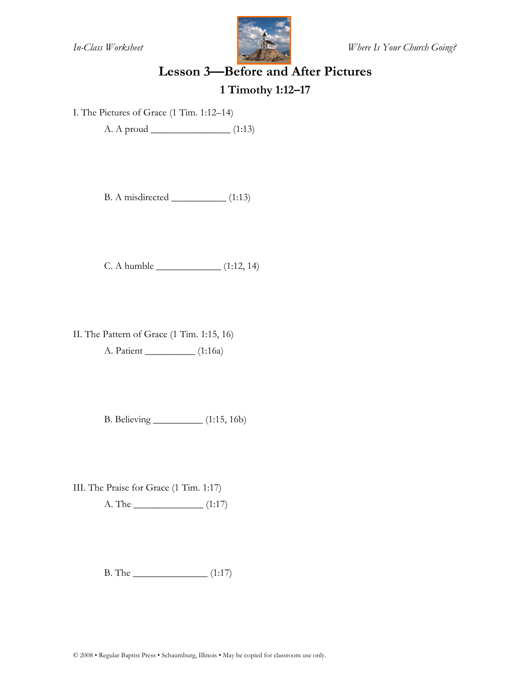

# **Lesson 3—Before and After Pictures**

#### **1 Timothy 1:12–17**

I. The Pictures of Grace (1 Tim. 1:12–14)

A. A proud \_\_\_\_\_\_\_\_\_\_\_\_\_\_\_\_ (1:13)

B. A misdirected \_\_\_\_\_\_\_\_\_\_\_ (1:13)

C. A humble \_\_\_\_\_\_\_\_\_\_\_\_\_ (1:12, 14)

II. The Pattern of Grace (1 Tim. 1:15, 16) A. Patient \_\_\_\_\_\_\_\_\_\_ (1:16a)

B. Believing \_\_\_\_\_\_\_\_\_\_ (1:15, 16b)

III. The Praise for Grace (1 Tim. 1:17)

A. The \_\_\_\_\_\_\_\_\_\_\_\_\_\_ (1:17)

B. The \_\_\_\_\_\_\_\_\_\_\_\_\_\_\_ (1:17)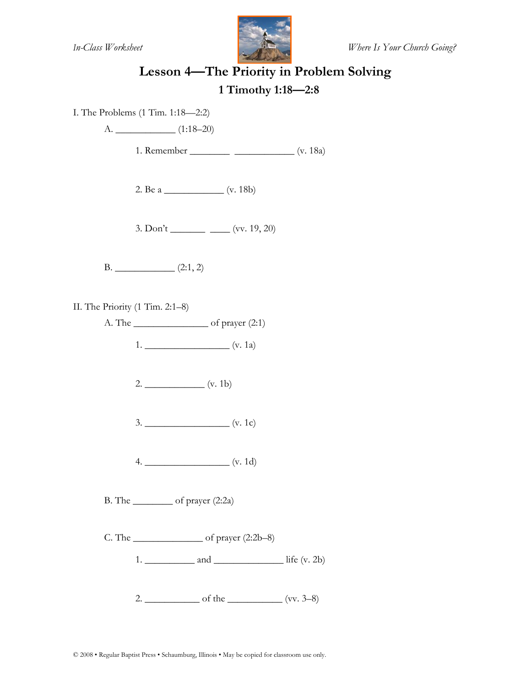

# **Lesson 4—The Priority in Problem Solving**

#### **1 Timothy 1:18—2:8**

I. The Problems (1 Tim. 1:18—2:2)

 $A.$  (1:18–20)

1. Remember \_\_\_\_\_\_\_\_ \_\_\_\_\_\_\_\_\_\_\_\_ (v. 18a)

2. Be a \_\_\_\_\_\_\_\_\_\_\_\_ (v. 18b)

 $3.$  Don't \_\_\_\_\_\_\_\_\_\_\_\_\_\_\_\_\_\_\_ (vv. 19, 20)

B. \_\_\_\_\_\_\_\_\_\_\_\_ (2:1, 2)

II. The Priority (1 Tim. 2:1–8)

A. The \_\_\_\_\_\_\_\_\_\_\_\_\_\_\_ of prayer (2:1)

1. \_\_\_\_\_\_\_\_\_\_\_\_\_\_\_\_\_ (v. 1a)

 $2.$  (v. 1b)

3. \_\_\_\_\_\_\_\_\_\_\_\_\_\_\_\_\_ (v. 1c)

4. \_\_\_\_\_\_\_\_\_\_\_\_\_\_\_\_\_ (v. 1d)

B. The \_\_\_\_\_\_\_\_ of prayer (2:2a)

C. The  $\_\_\_\_\_\_\_$  of prayer  $(2:2b-8)$ 

1.  $\frac{\text{and}}{\text{and}}$ 

2. \_\_\_\_\_\_\_\_\_\_\_ of the \_\_\_\_\_\_\_\_\_\_\_ (vv. 3–8)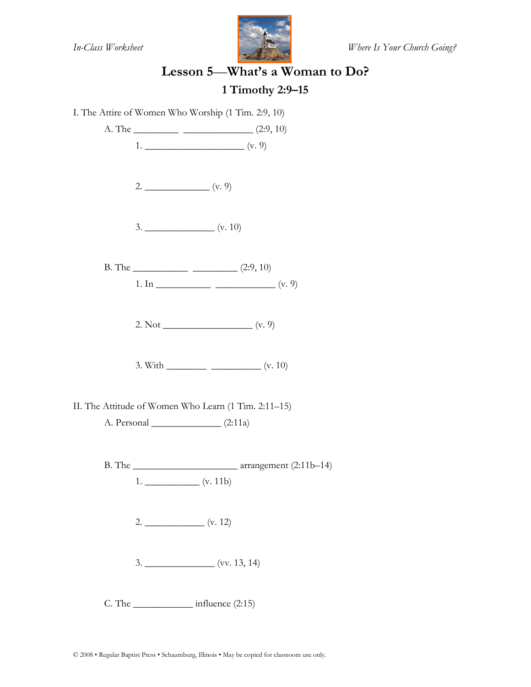

# **Lesson 5**—**What's a Woman to Do? 1 Timothy 2:9–15**

I. The Attire of Women Who Worship (1 Tim. 2:9, 10) A. The  $\frac{\qquad (2:9, 10)}{2 \cdot 9}$  $1.$  (v. 9) 2. \_\_\_\_\_\_\_\_\_\_\_\_\_ (v. 9) 3. \_\_\_\_\_\_\_\_\_\_\_\_\_\_ (v. 10) B. The  $\frac{\qquad (2:9, 10)}{2 \cdot 9}$ 1. In \_\_\_\_\_\_\_\_\_\_\_ \_\_\_\_\_\_\_\_\_\_\_\_ (v. 9) 2. Not \_\_\_\_\_\_\_\_\_\_\_\_\_\_\_\_\_\_ (v. 9) 3. With  $\frac{\ }{\ }$  (v. 10) II. The Attitude of Women Who Learn (1 Tim. 2:11–15) A. Personal \_\_\_\_\_\_\_\_\_\_\_\_\_\_ (2:11a) B. The \_\_\_\_\_\_\_\_\_\_\_\_\_\_\_\_\_\_\_\_\_ arrangement (2:11b–14)  $1.$   $($ v. 11b)  $2.$  (v. 12) 3. \_\_\_\_\_\_\_\_\_\_\_\_\_\_ (vv. 13, 14) C. The \_\_\_\_\_\_\_\_\_\_\_\_ influence (2:15)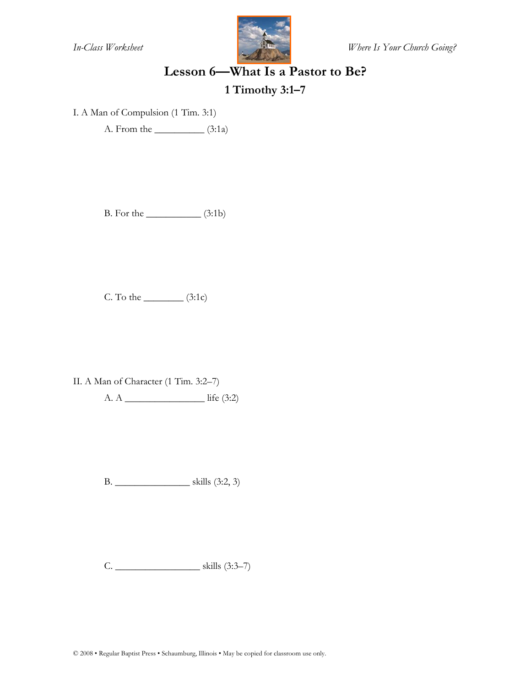

*In-Class Worksheet Where Is Your Church Going?*

#### **Lesson 6—What Is a Pastor to Be?**

**1 Timothy 3:1–7** 

I. A Man of Compulsion (1 Tim. 3:1)

A. From the \_\_\_\_\_\_\_\_\_\_ (3:1a)

B. For the \_\_\_\_\_\_\_\_\_\_\_ (3:1b)

C. To the  $\_$  (3:1c)

II. A Man of Character (1 Tim. 3:2–7)

A. A \_\_\_\_\_\_\_\_\_\_\_\_\_\_\_\_ life (3:2)

B. \_\_\_\_\_\_\_\_\_\_\_\_\_\_\_ skills (3:2, 3)

C. \_\_\_\_\_\_\_\_\_\_\_\_\_\_\_\_\_ skills (3:3–7)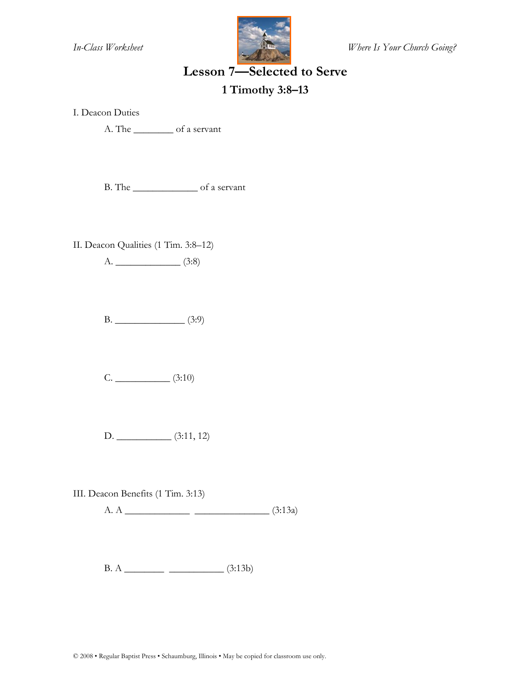

*In-Class Worksheet Where Is Your Church Going?*

#### **Lesson 7—Selected to Serve**

#### **1 Timothy 3:8–13**

I. Deacon Duties

A. The \_\_\_\_\_\_\_\_ of a servant

B. The \_\_\_\_\_\_\_\_\_\_\_\_\_ of a servant

II. Deacon Qualities (1 Tim. 3:8–12)

A. \_\_\_\_\_\_\_\_\_\_\_\_\_ (3:8)

B. \_\_\_\_\_\_\_\_\_\_\_\_\_\_ (3:9)

 $C.$  (3:10)

D. \_\_\_\_\_\_\_\_\_\_\_ (3:11, 12)

III. Deacon Benefits (1 Tim. 3:13)

A. A \_\_\_\_\_\_\_\_\_\_\_\_\_ \_\_\_\_\_\_\_\_\_\_\_\_\_\_\_ (3:13a)

B. A \_\_\_\_\_\_\_\_ \_\_\_\_\_\_\_\_\_\_\_ (3:13b)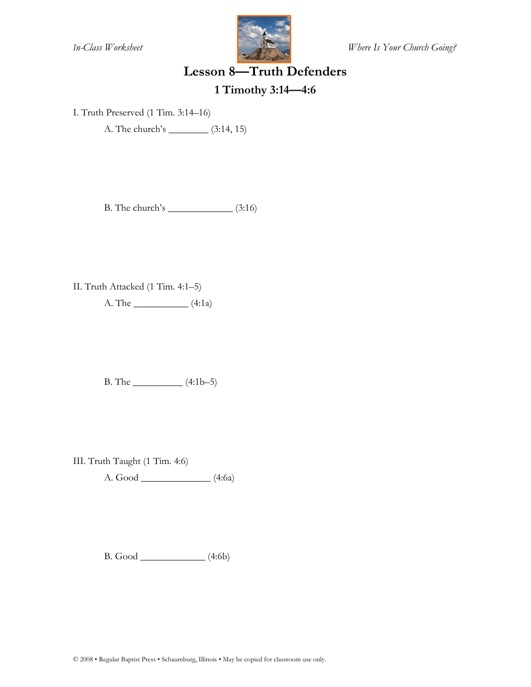

*In-Class Worksheet Where Is Your Church Going?*

#### **Lesson 8—Truth Defenders**

# **1 Timothy 3:14—4:6**

I. Truth Preserved (1 Tim. 3:14–16)

A. The church's \_\_\_\_\_\_\_\_ (3:14, 15)

B. The church's \_\_\_\_\_\_\_\_\_\_\_\_\_ (3:16)

II. Truth Attacked (1 Tim. 4:1–5) A. The \_\_\_\_\_\_\_\_\_\_\_ (4:1a)

B. The \_\_\_\_\_\_\_\_\_\_ (4:1b–5)

III. Truth Taught (1 Tim. 4:6)

A. Good \_\_\_\_\_\_\_\_\_\_\_\_\_\_ (4:6a)

B. Good \_\_\_\_\_\_\_\_\_\_\_\_\_ (4:6b)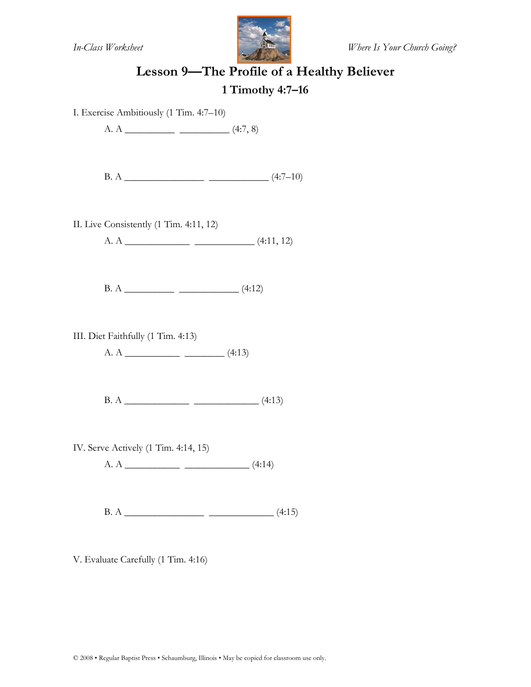

# **Lesson 9—The Profile of a Healthy Believer 1 Timothy 4:7–16**

I. Exercise Ambitiously (1 Tim. 4:7–10)

A. A  $\frac{\ }{}$  (4:7, 8)

B. A \_\_\_\_\_\_\_\_\_\_\_\_\_\_\_\_ \_\_\_\_\_\_\_\_\_\_\_\_ (4:7–10)

II. Live Consistently (1 Tim. 4:11, 12)

A. A \_\_\_\_\_\_\_\_\_\_\_\_\_ \_\_\_\_\_\_\_\_\_\_\_\_ (4:11, 12)

B. A \_\_\_\_\_\_\_\_\_\_ \_\_\_\_\_\_\_\_\_\_\_\_ (4:12)

III. Diet Faithfully (1 Tim. 4:13)

A. A \_\_\_\_\_\_\_\_\_\_\_ \_\_\_\_\_\_\_\_ (4:13)

B. A \_\_\_\_\_\_\_\_\_\_\_\_\_ \_\_\_\_\_\_\_\_\_\_\_\_\_ (4:13)

IV. Serve Actively (1 Tim. 4:14, 15)

A. A \_\_\_\_\_\_\_\_\_\_\_ \_\_\_\_\_\_\_\_\_\_\_\_\_ (4:14)

B. A \_\_\_\_\_\_\_\_\_\_\_\_\_\_\_\_ \_\_\_\_\_\_\_\_\_\_\_\_\_ (4:15)

V. Evaluate Carefully (1 Tim. 4:16)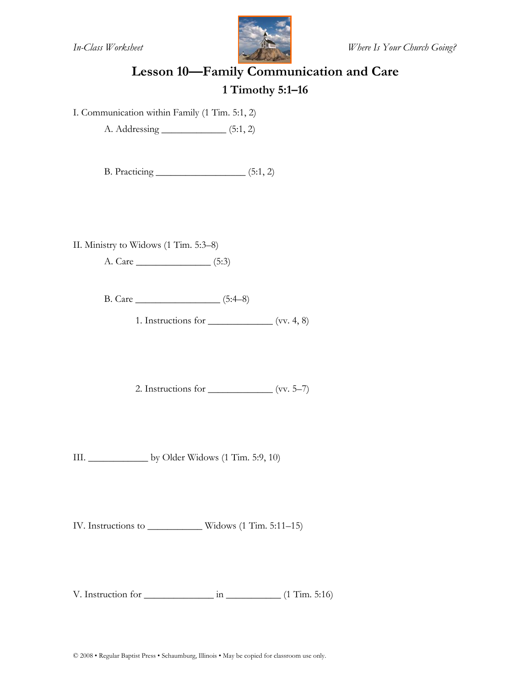

# **Lesson 10—Family Communication and Care 1 Timothy 5:1–16**

I. Communication within Family (1 Tim. 5:1, 2)

A. Addressing \_\_\_\_\_\_\_\_\_\_\_\_\_ (5:1, 2)

B. Practicing \_\_\_\_\_\_\_\_\_\_\_\_\_\_\_\_\_\_ (5:1, 2)

II. Ministry to Widows (1 Tim. 5:3–8)

A. Care \_\_\_\_\_\_\_\_\_\_\_\_\_\_\_ (5:3)

B. Care \_\_\_\_\_\_\_\_\_\_\_\_\_\_\_\_\_ (5:4–8)

1. Instructions for  $\frac{\ }{\ }$  (vv. 4, 8)

2. Instructions for  $\_\_\_\_\_\_\_\_\_\_\_\_$ 

III. \_\_\_\_\_\_\_\_\_\_\_\_ by Older Widows (1 Tim. 5:9, 10)

IV. Instructions to \_\_\_\_\_\_\_\_\_\_\_ Widows (1 Tim. 5:11–15)

V. Instruction for  $\frac{1}{2}$  in  $\frac{1}{2}$  (1 Tim. 5:16)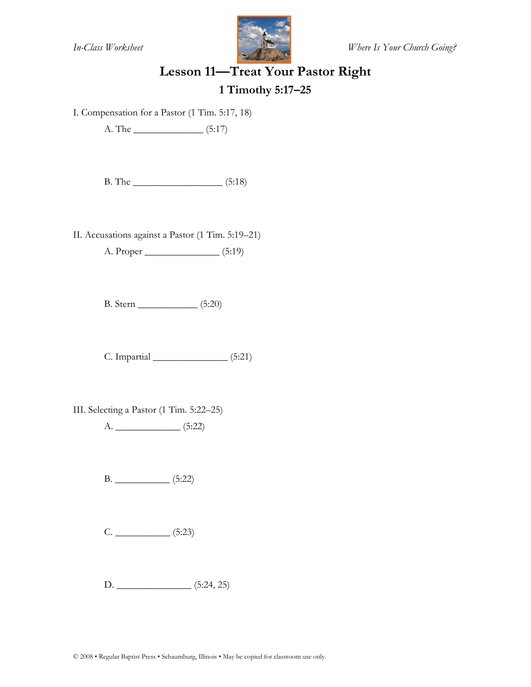

# **Lesson 11—Treat Your Pastor Right 1 Timothy 5:17–25**

I. Compensation for a Pastor (1 Tim. 5:17, 18)

A. The \_\_\_\_\_\_\_\_\_\_\_\_\_\_ (5:17)

B. The \_\_\_\_\_\_\_\_\_\_\_\_\_\_\_\_\_\_ (5:18)

II. Accusations against a Pastor (1 Tim. 5:19–21)

A. Proper \_\_\_\_\_\_\_\_\_\_\_\_\_\_\_ (5:19)

B. Stern \_\_\_\_\_\_\_\_\_\_\_\_ (5:20)

C. Impartial \_\_\_\_\_\_\_\_\_\_\_\_\_\_\_ (5:21)

III. Selecting a Pastor (1 Tim. 5:22–25)

A. \_\_\_\_\_\_\_\_\_\_\_\_\_ (5:22)

B. \_\_\_\_\_\_\_\_\_\_\_ (5:22)

C. \_\_\_\_\_\_\_\_\_\_\_ (5:23)

D. \_\_\_\_\_\_\_\_\_\_\_\_\_\_\_ (5:24, 25)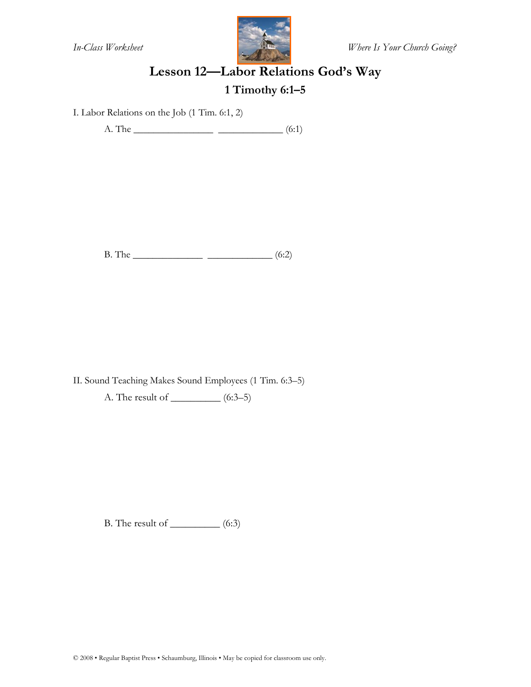

# **Lesson 12—Labor Relations God's Way 1 Timothy 6:1–5**

I. Labor Relations on the Job (1 Tim. 6:1, 2)

A. The \_\_\_\_\_\_\_\_\_\_\_\_\_\_\_\_ \_\_\_\_\_\_\_\_\_\_\_\_\_ (6:1)

B. The \_\_\_\_\_\_\_\_\_\_\_\_\_\_ \_\_\_\_\_\_\_\_\_\_\_\_\_ (6:2)

II. Sound Teaching Makes Sound Employees (1 Tim. 6:3–5)

A. The result of \_\_\_\_\_\_\_\_\_\_ (6:3–5)

B. The result of \_\_\_\_\_\_\_\_\_\_ (6:3)